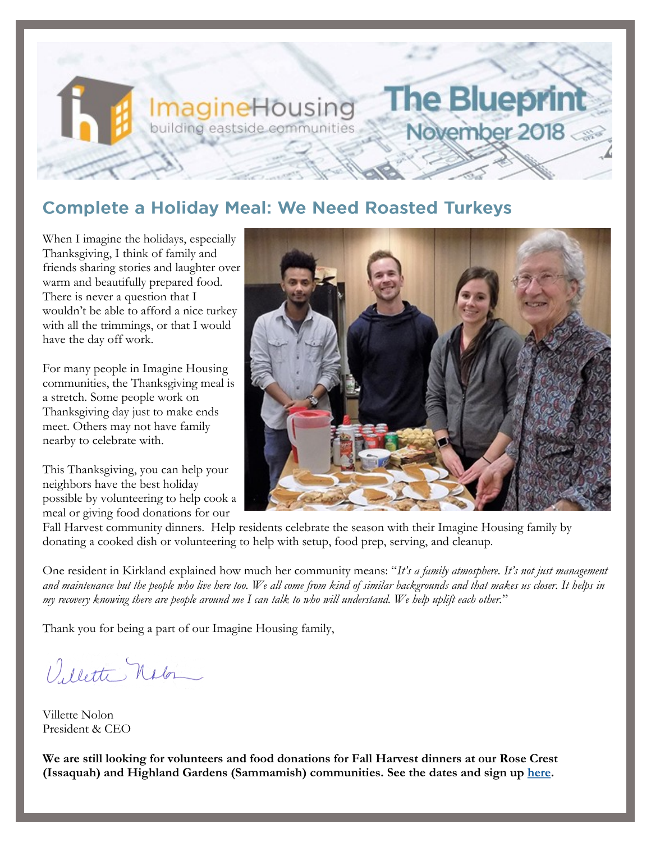## **Complete a Holiday Meal: We Need Roasted Turkeys**

**ImagineHousing** building eastside communities

When I imagine the holidays, especially Thanksgiving, I think of family and friends sharing stories and laughter over warm and beautifully prepared food. There is never a question that I wouldn't be able to afford a nice turkey with all the trimmings, or that I would have the day off work.

For many people in Imagine Housing communities, the Thanksgiving meal is a stretch. Some people work on Thanksgiving day just to make ends meet. Others may not have family nearby to celebrate with.

This Thanksgiving, you can help your neighbors have the best holiday possible by volunteering to help cook a meal or giving food donations for our



**The Blueprin** 

November 2018

Fall Harvest community dinners. Help residents celebrate the season with their Imagine Housing family by donating a cooked dish or volunteering to help with setup, food prep, serving, and cleanup.

One resident in Kirkland explained how much her community means: "*It's a family atmosphere. It's not just management and maintenance but the people who live here too. We all come from kind of similar backgrounds and that makes us closer. It helps in my recovery knowing there are people around me I can talk to who will understand. We help uplift each other.*"

Thank you for being a part of our Imagine Housing family,

Villette Nator

Villette Nolon President & CEO

**We are still looking for volunteers and food donations for Fall Harvest dinners at our Rose Crest (Issaquah) and Highland Gardens (Sammamish) communities. See the dates and sign up [here.](https://imaginehousing.org/get-involved/volunteer/holiday-signup/?blm_aid=0)**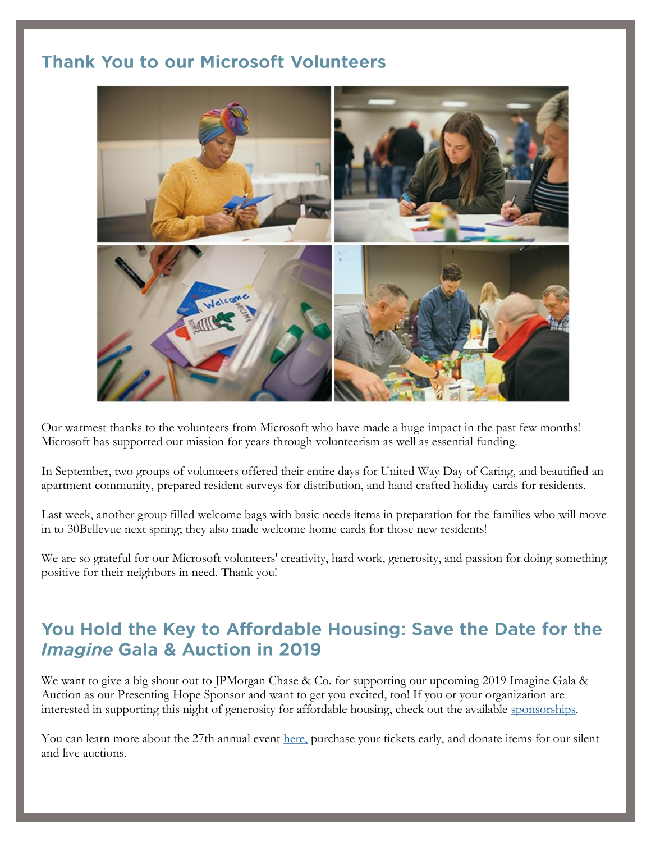## **Thank You to our Microsoft Volunteers**



Our warmest thanks to the volunteers from Microsoft who have made a huge impact in the past few months! Microsoft has supported our mission for years through volunteerism as well as essential funding.

In September, two groups of volunteers offered their entire days for United Way Day of Caring, and beautified an apartment community, prepared resident surveys for distribution, and hand crafted holiday cards for residents.

Last week, another group filled welcome bags with basic needs items in preparation for the families who will move in to 30Bellevue next spring; they also made welcome home cards for those new residents!

We are so grateful for our Microsoft volunteers' creativity, hard work, generosity, and passion for doing something positive for their neighbors in need. Thank you!

## You Hold the Key to Affordable Housing: Save the Date for the **Imagine Gala & Auction in 2019**

We want to give a big shout out to JPMorgan Chase & Co. for supporting our upcoming 2019 Imagine Gala & Auction as our Presenting Hope Sponsor and want to get you excited, too! If you or your organization are interested in supporting this night of generosity for affordable housing, check out the available [sponsorships.](https://one.bidpal.net/imaginehousing/ticketing(details:ticketing-summary))

You can learn more about the 27th annual event [here,](http://www.bidpal.net/imaginehousing) purchase your tickets early, and donate items for our silent and live auctions.